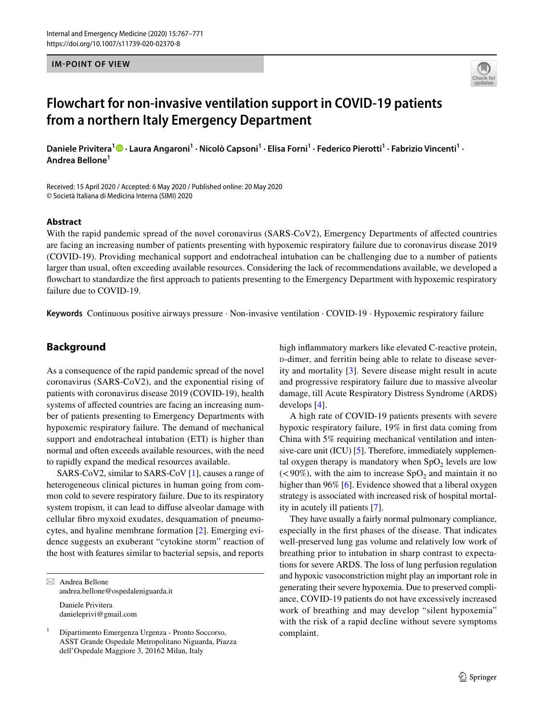#### **IM-POINT OF VIEW**



# **Flowchart for non‑invasive ventilation support in COVID‑19 patients from a northern Italy Emergency Department**

DanielePrivitera<sup>1</sup><sup>®</sup> · Laura Angaroni<sup>1</sup> · Nicolò Capsoni<sup>1</sup> · Elisa Forni<sup>1</sup> · Federico Pierotti<sup>1</sup> · Fabrizio Vincenti<sup>1</sup> · **Andrea Bellone<sup>1</sup>**

Received: 15 April 2020 / Accepted: 6 May 2020 / Published online: 20 May 2020 © Società Italiana di Medicina Interna (SIMI) 2020

#### **Abstract**

With the rapid pandemic spread of the novel coronavirus (SARS-CoV2), Emergency Departments of afected countries are facing an increasing number of patients presenting with hypoxemic respiratory failure due to coronavirus disease 2019 (COVID-19). Providing mechanical support and endotracheal intubation can be challenging due to a number of patients larger than usual, often exceeding available resources. Considering the lack of recommendations available, we developed a fowchart to standardize the frst approach to patients presenting to the Emergency Department with hypoxemic respiratory failure due to COVID-19.

**Keywords** Continuous positive airways pressure · Non-invasive ventilation · COVID-19 · Hypoxemic respiratory failure

## **Background**

As a consequence of the rapid pandemic spread of the novel coronavirus (SARS-CoV2), and the exponential rising of patients with coronavirus disease 2019 (COVID-19), health systems of afected countries are facing an increasing number of patients presenting to Emergency Departments with hypoxemic respiratory failure. The demand of mechanical support and endotracheal intubation (ETI) is higher than normal and often exceeds available resources, with the need to rapidly expand the medical resources available.

SARS-CoV2, similar to SARS-CoV [[1\]](#page-3-0), causes a range of heterogeneous clinical pictures in human going from common cold to severe respiratory failure. Due to its respiratory system tropism, it can lead to difuse alveolar damage with cellular fbro myxoid exudates, desquamation of pneumocytes, and hyaline membrane formation [[2\]](#page-3-1). Emerging evidence suggests an exuberant "cytokine storm" reaction of the host with features similar to bacterial sepsis, and reports

 $\boxtimes$  Andrea Bellone andrea.bellone@ospedaleniguarda.it Daniele Privitera danieleprivi@gmail.com

<sup>1</sup> Dipartimento Emergenza Urgenza - Pronto Soccorso, ASST Grande Ospedale Metropolitano Niguarda, Piazza dell'Ospedale Maggiore 3, 20162 Milan, Italy

high infammatory markers like elevated C-reactive protein, d-dimer, and ferritin being able to relate to disease severity and mortality [[3](#page-3-2)]. Severe disease might result in acute and progressive respiratory failure due to massive alveolar damage, till Acute Respiratory Distress Syndrome (ARDS) develops [\[4\]](#page-3-3).

A high rate of COVID-19 patients presents with severe hypoxic respiratory failure, 19% in frst data coming from China with 5% requiring mechanical ventilation and intensive-care unit (ICU) [\[5](#page-3-4)]. Therefore, immediately supplemental oxygen therapy is mandatory when  $SpO<sub>2</sub>$  levels are low  $(< 90\%)$ , with the aim to increase SpO<sub>2</sub> and maintain it no higher than 96% [\[6](#page-3-5)]. Evidence showed that a liberal oxygen strategy is associated with increased risk of hospital mortality in acutely ill patients [\[7](#page-3-6)].

They have usually a fairly normal pulmonary compliance, especially in the frst phases of the disease. That indicates well-preserved lung gas volume and relatively low work of breathing prior to intubation in sharp contrast to expectations for severe ARDS. The loss of lung perfusion regulation and hypoxic vasoconstriction might play an important role in generating their severe hypoxemia. Due to preserved compliance, COVID-19 patients do not have excessively increased work of breathing and may develop "silent hypoxemia" with the risk of a rapid decline without severe symptoms complaint.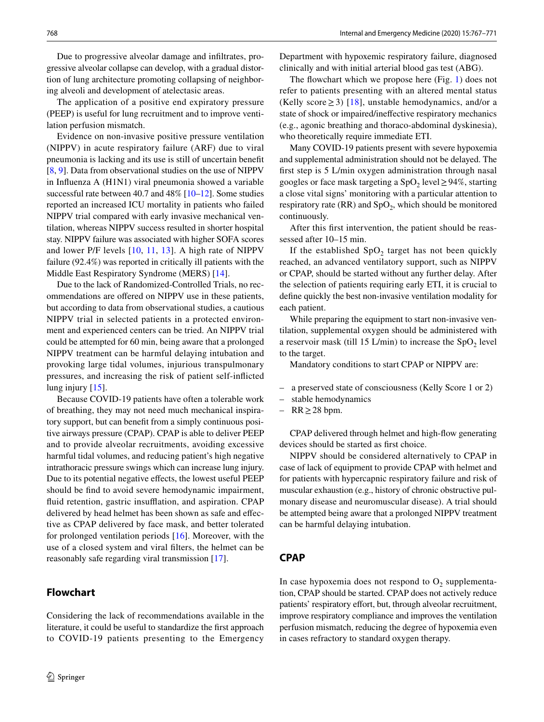Due to progressive alveolar damage and infltrates, progressive alveolar collapse can develop, with a gradual distortion of lung architecture promoting collapsing of neighboring alveoli and development of atelectasic areas.

The application of a positive end expiratory pressure (PEEP) is useful for lung recruitment and to improve ventilation perfusion mismatch.

Evidence on non-invasive positive pressure ventilation (NIPPV) in acute respiratory failure (ARF) due to viral pneumonia is lacking and its use is still of uncertain beneft [\[8](#page-3-7), [9](#page-3-8)]. Data from observational studies on the use of NIPPV in Infuenza A (H1N1) viral pneumonia showed a variable successful rate between 40.7 and 48% [\[10](#page-3-9)[–12](#page-3-10)]. Some studies reported an increased ICU mortality in patients who failed NIPPV trial compared with early invasive mechanical ventilation, whereas NIPPV success resulted in shorter hospital stay. NIPPV failure was associated with higher SOFA scores and lower P/F levels [[10](#page-3-9), [11,](#page-3-11) [13\]](#page-4-0). A high rate of NIPPV failure (92.4%) was reported in critically ill patients with the Middle East Respiratory Syndrome (MERS) [[14](#page-4-1)].

Due to the lack of Randomized-Controlled Trials, no recommendations are ofered on NIPPV use in these patients, but according to data from observational studies, a cautious NIPPV trial in selected patients in a protected environment and experienced centers can be tried. An NIPPV trial could be attempted for 60 min, being aware that a prolonged NIPPV treatment can be harmful delaying intubation and provoking large tidal volumes, injurious transpulmonary pressures, and increasing the risk of patient self-inficted lung injury [[15\]](#page-4-2).

Because COVID-19 patients have often a tolerable work of breathing, they may not need much mechanical inspiratory support, but can beneft from a simply continuous positive airways pressure (CPAP). CPAP is able to deliver PEEP and to provide alveolar recruitments, avoiding excessive harmful tidal volumes, and reducing patient's high negative intrathoracic pressure swings which can increase lung injury. Due to its potential negative efects, the lowest useful PEEP should be fnd to avoid severe hemodynamic impairment, fluid retention, gastric insufflation, and aspiration. CPAP delivered by head helmet has been shown as safe and efective as CPAP delivered by face mask, and better tolerated for prolonged ventilation periods [[16](#page-4-3)]. Moreover, with the use of a closed system and viral flters, the helmet can be reasonably safe regarding viral transmission [\[17](#page-4-4)].

# **Flowchart**

Considering the lack of recommendations available in the literature, it could be useful to standardize the frst approach to COVID-19 patients presenting to the Emergency Department with hypoxemic respiratory failure, diagnosed clinically and with initial arterial blood gas test (ABG).

The flowchart which we propose here (Fig. [1](#page-2-0)) does not refer to patients presenting with an altered mental status (Kelly score  $\geq$  3) [[18\]](#page-4-5), unstable hemodynamics, and/or a state of shock or impaired/inefective respiratory mechanics (e.g., agonic breathing and thoraco-abdominal dyskinesia), who theoretically require immediate ETI.

Many COVID-19 patients present with severe hypoxemia and supplemental administration should not be delayed. The frst step is 5 L/min oxygen administration through nasal googles or face mask targeting a  $SpO<sub>2</sub>$  level  $\geq$  94%, starting a close vital signs' monitoring with a particular attention to respiratory rate  $(RR)$  and  $SpO<sub>2</sub>$ , which should be monitored continuously.

After this frst intervention, the patient should be reassessed after 10–15 min.

If the established  $SpO<sub>2</sub>$  target has not been quickly reached, an advanced ventilatory support, such as NIPPV or CPAP, should be started without any further delay. After the selection of patients requiring early ETI, it is crucial to defne quickly the best non-invasive ventilation modality for each patient.

While preparing the equipment to start non-invasive ventilation, supplemental oxygen should be administered with a reservoir mask (till 15 L/min) to increase the  $SpO<sub>2</sub>$  level to the target.

Mandatory conditions to start CPAP or NIPPV are:

- a preserved state of consciousness (Kelly Score 1 or 2)
- stable hemodynamics
- RR≥28 bpm.

CPAP delivered through helmet and high-fow generating devices should be started as frst choice.

NIPPV should be considered alternatively to CPAP in case of lack of equipment to provide CPAP with helmet and for patients with hypercapnic respiratory failure and risk of muscular exhaustion (e.g., history of chronic obstructive pulmonary disease and neuromuscular disease). A trial should be attempted being aware that a prolonged NIPPV treatment can be harmful delaying intubation.

## **CPAP**

In case hypoxemia does not respond to  $O_2$  supplementation, CPAP should be started. CPAP does not actively reduce patients' respiratory effort, but, through alveolar recruitment, improve respiratory compliance and improves the ventilation perfusion mismatch, reducing the degree of hypoxemia even in cases refractory to standard oxygen therapy.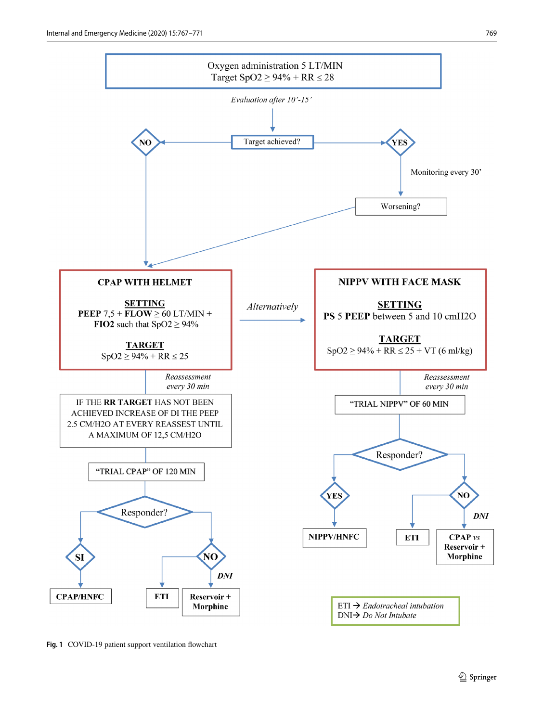

<span id="page-2-0"></span>**Fig. 1** COVID-19 patient support ventilation fowchart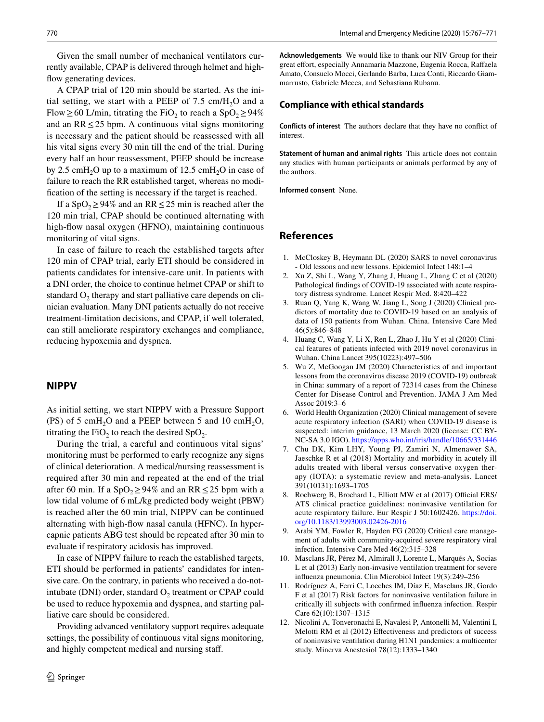Given the small number of mechanical ventilators currently available, CPAP is delivered through helmet and highflow generating devices.

A CPAP trial of 120 min should be started. As the initial setting, we start with a PEEP of  $7.5 \text{ cm}/\text{H}_2\text{O}$  and a Flow  $\geq$  60 L/min, titrating the FiO<sub>2</sub> to reach a SpO<sub>2</sub> $\geq$  94% and an  $RR \leq 25$  bpm. A continuous vital signs monitoring is necessary and the patient should be reassessed with all his vital signs every 30 min till the end of the trial. During every half an hour reassessment, PEEP should be increase by 2.5 cmH<sub>2</sub>O up to a maximum of 12.5 cmH<sub>2</sub>O in case of failure to reach the RR established target, whereas no modifcation of the setting is necessary if the target is reached.

If a SpO<sub>2</sub> $\geq$ 94% and an RR  $\leq$  25 min is reached after the 120 min trial, CPAP should be continued alternating with high-fow nasal oxygen (HFNO), maintaining continuous monitoring of vital signs.

In case of failure to reach the established targets after 120 min of CPAP trial, early ETI should be considered in patients candidates for intensive-care unit. In patients with a DNI order, the choice to continue helmet CPAP or shift to standard  $O<sub>2</sub>$  therapy and start palliative care depends on clinician evaluation. Many DNI patients actually do not receive treatment-limitation decisions, and CPAP, if well tolerated, can still ameliorate respiratory exchanges and compliance, reducing hypoxemia and dyspnea.

## **NIPPV**

As initial setting, we start NIPPV with a Pressure Support (PS) of 5 cmH<sub>2</sub>O and a PEEP between 5 and 10 cmH<sub>2</sub>O, titrating the FiO<sub>2</sub> to reach the desired SpO<sub>2</sub>.

During the trial, a careful and continuous vital signs' monitoring must be performed to early recognize any signs of clinical deterioration. A medical/nursing reassessment is required after 30 min and repeated at the end of the trial after 60 min. If a SpO<sub>2</sub> ≥ 94% and an RR  $\leq$  25 bpm with a low tidal volume of 6 mL/kg predicted body weight (PBW) is reached after the 60 min trial, NIPPV can be continued alternating with high-fow nasal canula (HFNC). In hypercapnic patients ABG test should be repeated after 30 min to evaluate if respiratory acidosis has improved.

In case of NIPPV failure to reach the established targets, ETI should be performed in patients' candidates for intensive care. On the contrary, in patients who received a do-notintubate (DNI) order, standard  $O_2$  treatment or CPAP could be used to reduce hypoxemia and dyspnea, and starting palliative care should be considered.

Providing advanced ventilatory support requires adequate settings, the possibility of continuous vital signs monitoring, and highly competent medical and nursing staf.

**Acknowledgements** We would like to thank our NIV Group for their great effort, especially Annamaria Mazzone, Eugenia Rocca, Raffaela Amato, Consuelo Mocci, Gerlando Barba, Luca Conti, Riccardo Giammarrusto, Gabriele Mecca, and Sebastiana Rubanu.

#### **Compliance with ethical standards**

**Conflicts of interest** The authors declare that they have no confict of interest.

**Statement of human and animal rights** This article does not contain any studies with human participants or animals performed by any of the authors.

**Informed consent** None.

### **References**

- <span id="page-3-0"></span>1. McCloskey B, Heymann DL (2020) SARS to novel coronavirus - Old lessons and new lessons. Epidemiol Infect 148:1–4
- <span id="page-3-1"></span>2. Xu Z, Shi L, Wang Y, Zhang J, Huang L, Zhang C et al (2020) Pathological fndings of COVID-19 associated with acute respiratory distress syndrome. Lancet Respir Med. 8:420–422
- <span id="page-3-2"></span>3. Ruan Q, Yang K, Wang W, Jiang L, Song J (2020) Clinical predictors of mortality due to COVID-19 based on an analysis of data of 150 patients from Wuhan. China. Intensive Care Med 46(5):846–848
- <span id="page-3-3"></span>4. Huang C, Wang Y, Li X, Ren L, Zhao J, Hu Y et al (2020) Clinical features of patients infected with 2019 novel coronavirus in Wuhan. China Lancet 395(10223):497–506
- <span id="page-3-4"></span>5. Wu Z, McGoogan JM (2020) Characteristics of and important lessons from the coronavirus disease 2019 (COVID-19) outbreak in China: summary of a report of 72314 cases from the Chinese Center for Disease Control and Prevention. JAMA J Am Med Assoc 2019:3–6
- <span id="page-3-5"></span>6. World Health Organization (2020) Clinical management of severe acute respiratory infection (SARI) when COVID-19 disease is suspected: interim guidance, 13 March 2020 (license: CC BY-NC-SA 3.0 IGO).<https://apps.who.int/iris/handle/10665/331446>
- <span id="page-3-6"></span>7. Chu DK, Kim LHY, Young PJ, Zamiri N, Almenawer SA, Jaeschke R et al (2018) Mortality and morbidity in acutely ill adults treated with liberal versus conservative oxygen therapy (IOTA): a systematic review and meta-analysis. Lancet 391(10131):1693–1705
- <span id="page-3-7"></span>8. Rochwerg B, Brochard L, Elliott MW et al (2017) Official ERS/ ATS clinical practice guidelines: noninvasive ventilation for acute respiratory failure. Eur Respir J 50:1602426. [https://doi.](https://doi.org/10.1183/13993003.02426-2016) [org/10.1183/13993003.02426-2016](https://doi.org/10.1183/13993003.02426-2016)
- <span id="page-3-8"></span>9. Arabi YM, Fowler R, Hayden FG (2020) Critical care management of adults with community-acquired severe respiratory viral infection. Intensive Care Med 46(2):315–328
- <span id="page-3-9"></span>10. Masclans JR, Pérez M, Almirall J, Lorente L, Marqués A, Socias L et al (2013) Early non-invasive ventilation treatment for severe infuenza pneumonia. Clin Microbiol Infect 19(3):249–256
- <span id="page-3-11"></span>11. Rodríguez A, Ferri C, Loeches IM, Díaz E, Masclans JR, Gordo F et al (2017) Risk factors for noninvasive ventilation failure in critically ill subjects with confrmed infuenza infection. Respir Care 62(10):1307–1315
- <span id="page-3-10"></span>12. Nicolini A, Tonveronachi E, Navalesi P, Antonelli M, Valentini I, Melotti RM et al (2012) Efectiveness and predictors of success of noninvasive ventilation during H1N1 pandemics: a multicenter study. Minerva Anestesiol 78(12):1333–1340